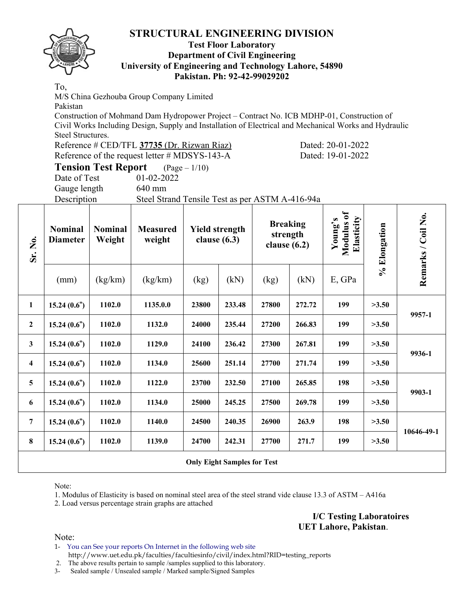### **Test Floor Laboratory Department of Civil Engineering University of Engineering and Technology Lahore, 54890 Pakistan. Ph: 92-42-99029202**

To,

M/S China Gezhouba Group Company Limited

Pakistan

Construction of Mohmand Dam Hydropower Project – Contract No. ICB MDHP-01, Construction of Civil Works Including Design, Supply and Installation of Electrical and Mechanical Works and Hydraulic Steel Structures.

| Reference # CED/TFL 37735 (Dr. Rizwan Riaz)   | Dated: 20-01-2022 |
|-----------------------------------------------|-------------------|
| Reference of the request letter # MDSYS-143-A | Dated: 19-01-2022 |

| <b>Tension Test Report</b> | $(Page - 1/10)$  |
|----------------------------|------------------|
| Date of Test               | $01 - 02 - 2022$ |
|                            |                  |

Gauge length 640 mm

Description Steel Strand Tensile Test as per ASTM A-416-94a

| Sr. No.                 | <b>Nominal</b><br><b>Diameter</b> | <b>Nominal</b><br>Weight | <b>Measured</b><br>weight |       | <b>Yield strength</b><br>clause $(6.3)$ |       | <b>Breaking</b><br>strength<br>clause $(6.2)$ |        | % Elongation | Remarks / Coil No. |
|-------------------------|-----------------------------------|--------------------------|---------------------------|-------|-----------------------------------------|-------|-----------------------------------------------|--------|--------------|--------------------|
|                         | (mm)                              | (kg/km)                  | (kg/km)                   | (kg)  | (kN)                                    | (kg)  | (kN)                                          | E, GPa |              |                    |
| $\mathbf{1}$            | 15.24(0.6")                       | 1102.0                   | 1135.0.0                  | 23800 | 233.48                                  | 27800 | 272.72                                        | 199    | >3.50        |                    |
| $\overline{2}$          | 15.24(0.6")                       | 1102.0                   | 1132.0                    | 24000 | 235.44                                  | 27200 | 266.83                                        | 199    | >3.50        | 9957-1             |
| 3                       | 15.24(0.6")                       | 1102.0                   | 1129.0                    | 24100 | 236.42                                  | 27300 | 267.81                                        | 199    | >3.50        | 9936-1             |
| $\overline{\mathbf{4}}$ | 15.24(0.6")                       | 1102.0                   | 1134.0                    | 25600 | 251.14                                  | 27700 | 271.74                                        | 199    | >3.50        |                    |
| 5                       | 15.24(0.6")                       | 1102.0                   | 1122.0                    | 23700 | 232.50                                  | 27100 | 265.85                                        | 198    | >3.50        |                    |
| 6                       | 15.24(0.6")                       | 1102.0                   | 1134.0                    | 25000 | 245.25                                  | 27500 | 269.78                                        | 199    | >3.50        | 9903-1             |
| 7                       | 15.24(0.6")                       | 1102.0                   | 1140.0                    | 24500 | 240.35                                  | 26900 | 263.9                                         | 198    | >3.50        | 10646-49-1         |
| 8                       | 15.24(0.6")                       | 1102.0                   | 1139.0                    | 24700 | 242.31                                  | 27700 | 271.7                                         | 199    | >3.50        |                    |
|                         |                                   |                          |                           |       | <b>Only Eight Samples for Test</b>      |       |                                               |        |              |                    |

Note:

1. Modulus of Elasticity is based on nominal steel area of the steel strand vide clause 13.3 of ASTM – A416a

2. Load versus percentage strain graphs are attached

**I/C Testing Laboratoires UET Lahore, Pakistan**.

Note:

1- You can See your reports On Internet in the following web site http://www.uet.edu.pk/faculties/facultiesinfo/civil/index.html?RID=testing\_reports

2. The above results pertain to sample /samples supplied to this laboratory.

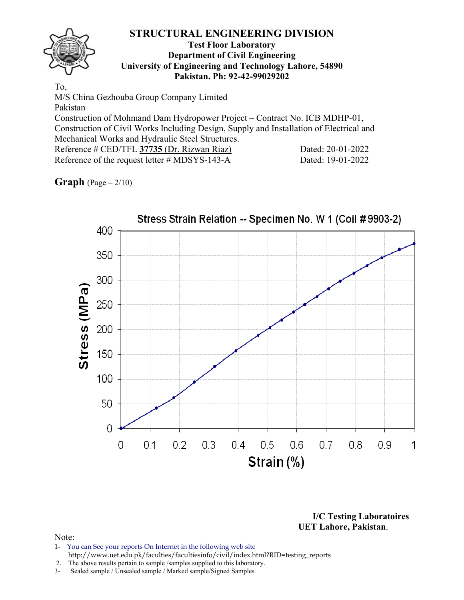### **Test Floor Laboratory Department of Civil Engineering University of Engineering and Technology Lahore, 54890 Pakistan. Ph: 92-42-99029202**

To, M/S China Gezhouba Group Company Limited Pakistan Construction of Mohmand Dam Hydropower Project – Contract No. ICB MDHP-01, Construction of Civil Works Including Design, Supply and Installation of Electrical and Mechanical Works and Hydraulic Steel Structures. Reference # CED/TFL 37735 (Dr. Rizwan Riaz) Dated: 20-01-2022 Reference of the request letter # MDSYS-143-A Dated: 19-01-2022

### **Graph** (Page – 2/10)



**I/C Testing Laboratoires UET Lahore, Pakistan**.

- 1- You can See your reports On Internet in the following web site http://www.uet.edu.pk/faculties/facultiesinfo/civil/index.html?RID=testing\_reports
- 2. The above results pertain to sample /samples supplied to this laboratory.
- 3- Sealed sample / Unsealed sample / Marked sample/Signed Samples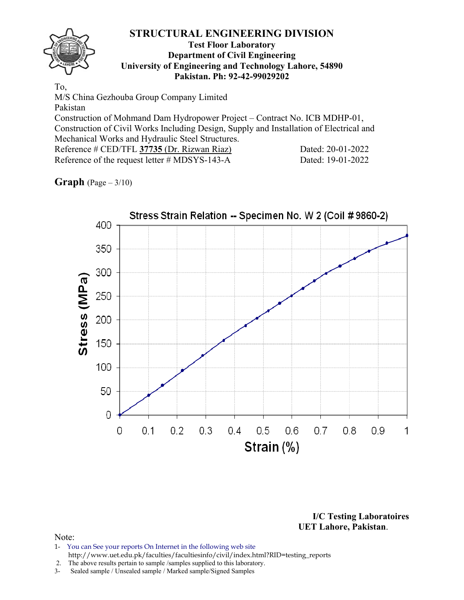### **Test Floor Laboratory Department of Civil Engineering University of Engineering and Technology Lahore, 54890 Pakistan. Ph: 92-42-99029202**

To, M/S China Gezhouba Group Company Limited Pakistan Construction of Mohmand Dam Hydropower Project – Contract No. ICB MDHP-01, Construction of Civil Works Including Design, Supply and Installation of Electrical and Mechanical Works and Hydraulic Steel Structures. Reference # CED/TFL 37735 (Dr. Rizwan Riaz) Dated: 20-01-2022 Reference of the request letter # MDSYS-143-A Dated: 19-01-2022

# **Graph** (Page – 3/10)



**I/C Testing Laboratoires UET Lahore, Pakistan**.

- 1- You can See your reports On Internet in the following web site http://www.uet.edu.pk/faculties/facultiesinfo/civil/index.html?RID=testing\_reports
- 2. The above results pertain to sample /samples supplied to this laboratory.
- 3- Sealed sample / Unsealed sample / Marked sample/Signed Samples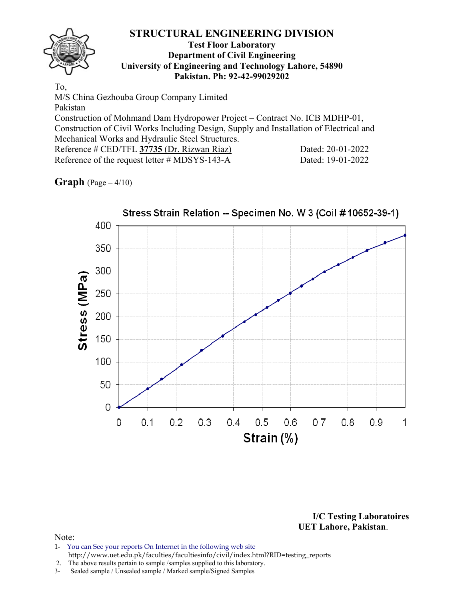### **Test Floor Laboratory Department of Civil Engineering University of Engineering and Technology Lahore, 54890 Pakistan. Ph: 92-42-99029202**

To, M/S China Gezhouba Group Company Limited Pakistan Construction of Mohmand Dam Hydropower Project – Contract No. ICB MDHP-01, Construction of Civil Works Including Design, Supply and Installation of Electrical and Mechanical Works and Hydraulic Steel Structures. Reference # CED/TFL 37735 (Dr. Rizwan Riaz) Dated: 20-01-2022 Reference of the request letter # MDSYS-143-A Dated: 19-01-2022

# **Graph** (Page – 4/10)



**I/C Testing Laboratoires UET Lahore, Pakistan**.

- 1- You can See your reports On Internet in the following web site http://www.uet.edu.pk/faculties/facultiesinfo/civil/index.html?RID=testing\_reports
- 2. The above results pertain to sample /samples supplied to this laboratory.
- 3- Sealed sample / Unsealed sample / Marked sample/Signed Samples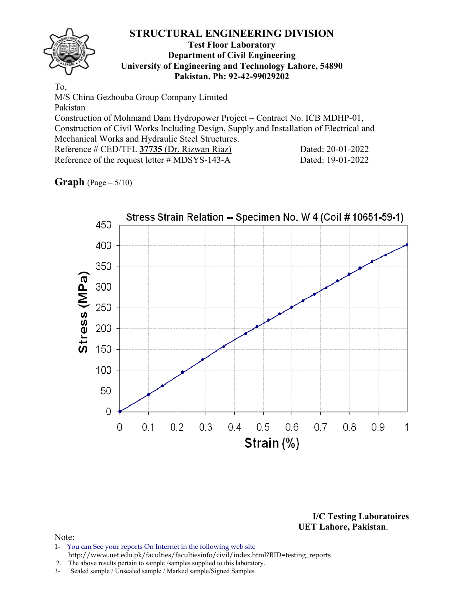### **Test Floor Laboratory Department of Civil Engineering University of Engineering and Technology Lahore, 54890 Pakistan. Ph: 92-42-99029202**

To, M/S China Gezhouba Group Company Limited Pakistan Construction of Mohmand Dam Hydropower Project – Contract No. ICB MDHP-01, Construction of Civil Works Including Design, Supply and Installation of Electrical and Mechanical Works and Hydraulic Steel Structures. Reference # CED/TFL 37735 (Dr. Rizwan Riaz) Dated: 20-01-2022 Reference of the request letter # MDSYS-143-A Dated: 19-01-2022

# **Graph** (Page – 5/10)



**I/C Testing Laboratoires UET Lahore, Pakistan**.

- 1- You can See your reports On Internet in the following web site http://www.uet.edu.pk/faculties/facultiesinfo/civil/index.html?RID=testing\_reports
- 2. The above results pertain to sample /samples supplied to this laboratory.
- 3- Sealed sample / Unsealed sample / Marked sample/Signed Samples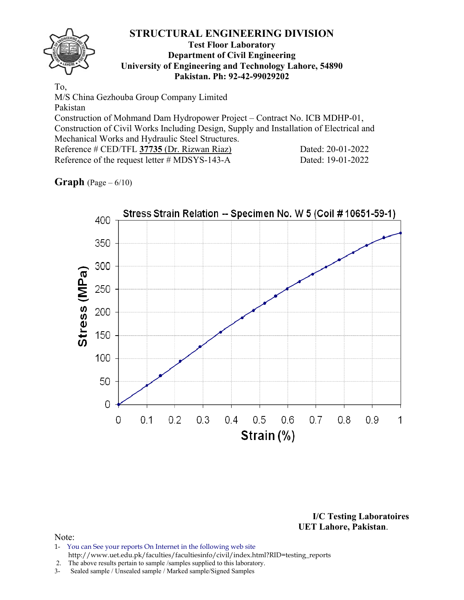### **Test Floor Laboratory Department of Civil Engineering University of Engineering and Technology Lahore, 54890 Pakistan. Ph: 92-42-99029202**

To, M/S China Gezhouba Group Company Limited Pakistan Construction of Mohmand Dam Hydropower Project – Contract No. ICB MDHP-01, Construction of Civil Works Including Design, Supply and Installation of Electrical and Mechanical Works and Hydraulic Steel Structures. Reference # CED/TFL 37735 (Dr. Rizwan Riaz) Dated: 20-01-2022 Reference of the request letter # MDSYS-143-A Dated: 19-01-2022

# **Graph** (Page – 6/10)



**I/C Testing Laboratoires UET Lahore, Pakistan**.

- 1- You can See your reports On Internet in the following web site http://www.uet.edu.pk/faculties/facultiesinfo/civil/index.html?RID=testing\_reports
- 2. The above results pertain to sample /samples supplied to this laboratory.
- 3- Sealed sample / Unsealed sample / Marked sample/Signed Samples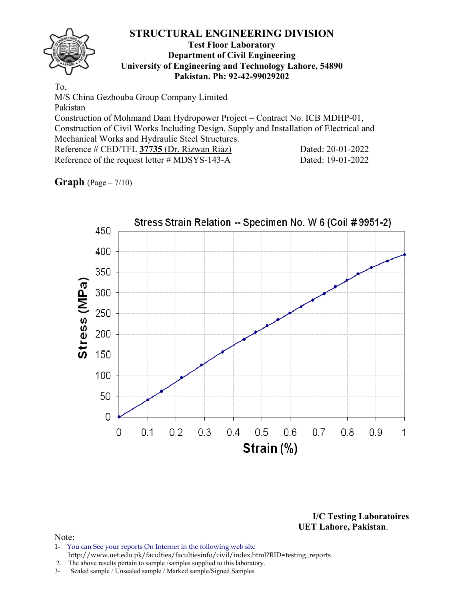### **Test Floor Laboratory Department of Civil Engineering University of Engineering and Technology Lahore, 54890 Pakistan. Ph: 92-42-99029202**

To, M/S China Gezhouba Group Company Limited Pakistan Construction of Mohmand Dam Hydropower Project – Contract No. ICB MDHP-01, Construction of Civil Works Including Design, Supply and Installation of Electrical and Mechanical Works and Hydraulic Steel Structures. Reference # CED/TFL 37735 (Dr. Rizwan Riaz) Dated: 20-01-2022 Reference of the request letter # MDSYS-143-A Dated: 19-01-2022

**Graph** (Page – 7/10)



**I/C Testing Laboratoires UET Lahore, Pakistan**.

- 1- You can See your reports On Internet in the following web site http://www.uet.edu.pk/faculties/facultiesinfo/civil/index.html?RID=testing\_reports
- 2. The above results pertain to sample /samples supplied to this laboratory.
- 3- Sealed sample / Unsealed sample / Marked sample/Signed Samples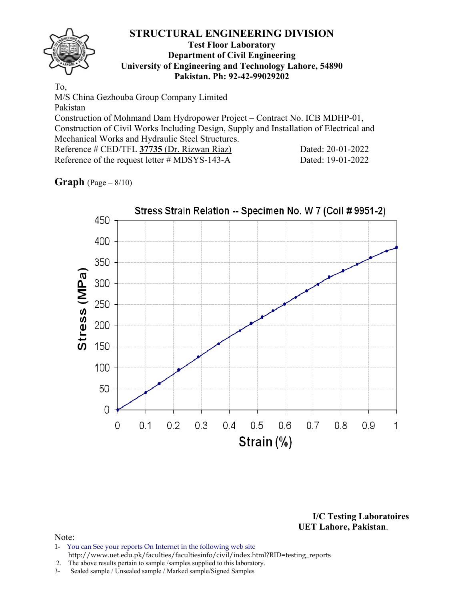### **Test Floor Laboratory Department of Civil Engineering University of Engineering and Technology Lahore, 54890 Pakistan. Ph: 92-42-99029202**

To, M/S China Gezhouba Group Company Limited Pakistan Construction of Mohmand Dam Hydropower Project – Contract No. ICB MDHP-01, Construction of Civil Works Including Design, Supply and Installation of Electrical and Mechanical Works and Hydraulic Steel Structures. Reference # CED/TFL 37735 (Dr. Rizwan Riaz) Dated: 20-01-2022 Reference of the request letter # MDSYS-143-A Dated: 19-01-2022

# **Graph** (Page – 8/10)



**I/C Testing Laboratoires UET Lahore, Pakistan**.

- 1- You can See your reports On Internet in the following web site http://www.uet.edu.pk/faculties/facultiesinfo/civil/index.html?RID=testing\_reports
- 2. The above results pertain to sample /samples supplied to this laboratory.
- 3- Sealed sample / Unsealed sample / Marked sample/Signed Samples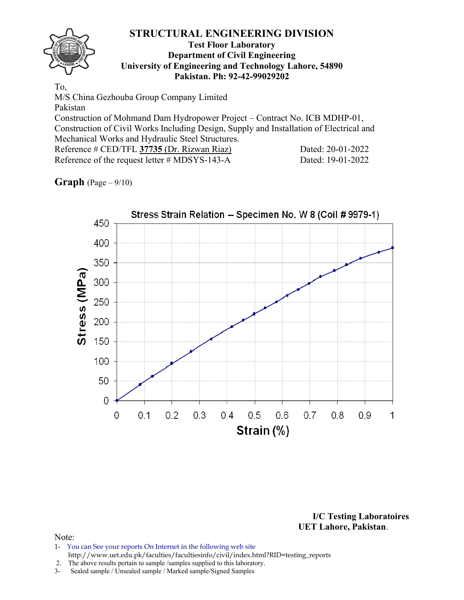### **Test Floor Laboratory Department of Civil Engineering University of Engineering and Technology Lahore, 54890 Pakistan. Ph: 92-42-99029202**

To, M/S China Gezhouba Group Company Limited Pakistan Construction of Mohmand Dam Hydropower Project – Contract No. ICB MDHP-01, Construction of Civil Works Including Design, Supply and Installation of Electrical and Mechanical Works and Hydraulic Steel Structures. Reference # CED/TFL 37735 (Dr. Rizwan Riaz) Dated: 20-01-2022 Reference of the request letter # MDSYS-143-A Dated: 19-01-2022

# **Graph** (Page – 9/10)



**I/C Testing Laboratoires UET Lahore, Pakistan**.

### Note:

1- You can See your reports On Internet in the following web site http://www.uet.edu.pk/faculties/facultiesinfo/civil/index.html?RID=testing\_reports

2. The above results pertain to sample /samples supplied to this laboratory.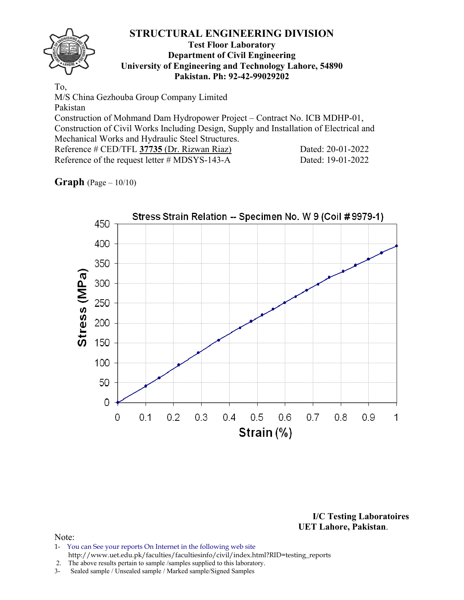### **Test Floor Laboratory Department of Civil Engineering University of Engineering and Technology Lahore, 54890 Pakistan. Ph: 92-42-99029202**

To, M/S China Gezhouba Group Company Limited Pakistan Construction of Mohmand Dam Hydropower Project – Contract No. ICB MDHP-01, Construction of Civil Works Including Design, Supply and Installation of Electrical and Mechanical Works and Hydraulic Steel Structures. Reference # CED/TFL 37735 (Dr. Rizwan Riaz) Dated: 20-01-2022 Reference of the request letter # MDSYS-143-A Dated: 19-01-2022

# **Graph** (Page – 10/10)



**I/C Testing Laboratoires UET Lahore, Pakistan**.

### Note:

1- You can See your reports On Internet in the following web site http://www.uet.edu.pk/faculties/facultiesinfo/civil/index.html?RID=testing\_reports

2. The above results pertain to sample /samples supplied to this laboratory.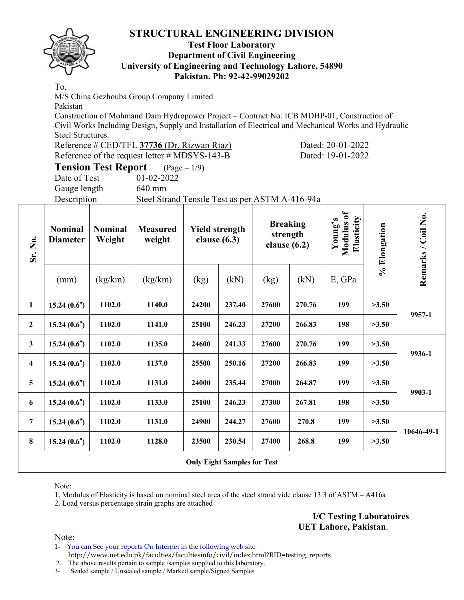### **Test Floor Laboratory Department of Civil Engineering University of Engineering and Technology Lahore, 54890 Pakistan. Ph: 92-42-99029202**

To,

M/S China Gezhouba Group Company Limited

Pakistan

Construction of Mohmand Dam Hydropower Project – Contract No. ICB MDHP-01, Construction of Civil Works Including Design, Supply and Installation of Electrical and Mechanical Works and Hydraulic Steel Structures.

| Reference # CED/TFL 37736 (Dr. Rizwan Riaz)      |  |  |
|--------------------------------------------------|--|--|
| Reference of the request letter $\#$ MDSYS-143-B |  |  |

(b) **Dated: 20-01-2022** Dated: 19-01-2022

**Tension Test Report** (Page – 1/9) Date of Test 01-02-2022

Gauge length 640 mm

Description Steel Strand Tensile Test as per ASTM A-416-94a

| Sr. No.                 | <b>Nominal</b><br><b>Diameter</b> | <b>Nominal</b><br>Weight | <b>Measured</b><br>weight |       | <b>Yield strength</b><br>clause $(6.3)$ | <b>Breaking</b><br>strength<br>clause $(6.2)$ |        | Modulus of<br>Elasticity<br>Young's | % Elongation | Remarks / Coil No. |
|-------------------------|-----------------------------------|--------------------------|---------------------------|-------|-----------------------------------------|-----------------------------------------------|--------|-------------------------------------|--------------|--------------------|
|                         | (mm)                              | (kg/km)                  | (kg/km)                   | (kg)  | (kN)                                    | (kg)                                          | (kN)   | E, GPa                              |              |                    |
| 1                       | 15.24(0.6")                       | 1102.0                   | 1140.0                    | 24200 | 237.40                                  | 27600                                         | 270.76 | 199                                 | >3.50        |                    |
| $\boldsymbol{2}$        | 15.24(0.6")                       | 1102.0                   | 1141.0                    | 25100 | 246.23                                  | 27200                                         | 266.83 | 198                                 | >3.50        | 9957-1             |
| $\mathbf{3}$            | 15.24(0.6")                       | 1102.0                   | 1135.0                    | 24600 | 241.33                                  | 27600                                         | 270.76 | 199                                 | >3.50        | 9936-1             |
| $\overline{\mathbf{4}}$ | 15.24(0.6")                       | 1102.0                   | 1137.0                    | 25500 | 250.16                                  | 27200                                         | 266.83 | 199                                 | >3.50        |                    |
| 5                       | 15.24(0.6")                       | 1102.0                   | 1131.0                    | 24000 | 235.44                                  | 27000                                         | 264.87 | 199                                 | >3.50        |                    |
| 6                       | 15.24(0.6")                       | 1102.0                   | 1133.0                    | 25100 | 246.23                                  | 27300                                         | 267.81 | 198                                 | >3.50        | 9903-1             |
| 7                       | 15.24(0.6")                       | 1102.0                   | 1131.0                    | 24900 | 244.27                                  | 27600                                         | 270.8  | 199                                 | >3.50        |                    |
| $\bf{8}$                | 15.24(0.6")                       | 1102.0                   | 1128.0                    | 23500 | 230.54                                  | 27400                                         | 268.8  | 199                                 | >3.50        | 10646-49-1         |
|                         |                                   |                          |                           |       | <b>Only Eight Samples for Test</b>      |                                               |        |                                     |              |                    |

Note:

1. Modulus of Elasticity is based on nominal steel area of the steel strand vide clause 13.3 of ASTM – A416a

2. Load versus percentage strain graphs are attached

**I/C Testing Laboratoires UET Lahore, Pakistan**.

Note:

1- You can See your reports On Internet in the following web site http://www.uet.edu.pk/faculties/facultiesinfo/civil/index.html?RID=testing\_reports

2. The above results pertain to sample /samples supplied to this laboratory.

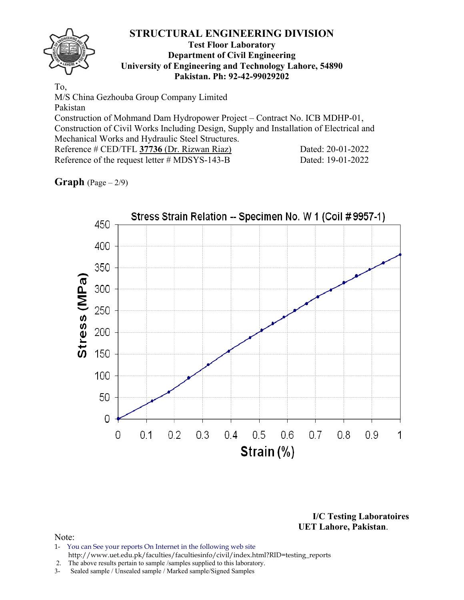### **Test Floor Laboratory Department of Civil Engineering University of Engineering and Technology Lahore, 54890 Pakistan. Ph: 92-42-99029202**

To, M/S China Gezhouba Group Company Limited Pakistan Construction of Mohmand Dam Hydropower Project – Contract No. ICB MDHP-01, Construction of Civil Works Including Design, Supply and Installation of Electrical and Mechanical Works and Hydraulic Steel Structures. Reference # CED/TFL **37736** (Dr. Rizwan Riaz) Dated: 20-01-2022 Reference of the request letter # MDSYS-143-B Dated: 19-01-2022

**Graph**  $(Page - 2/9)$ 



**I/C Testing Laboratoires UET Lahore, Pakistan**.

- 1- You can See your reports On Internet in the following web site http://www.uet.edu.pk/faculties/facultiesinfo/civil/index.html?RID=testing\_reports
- 2. The above results pertain to sample /samples supplied to this laboratory.
- 3- Sealed sample / Unsealed sample / Marked sample/Signed Samples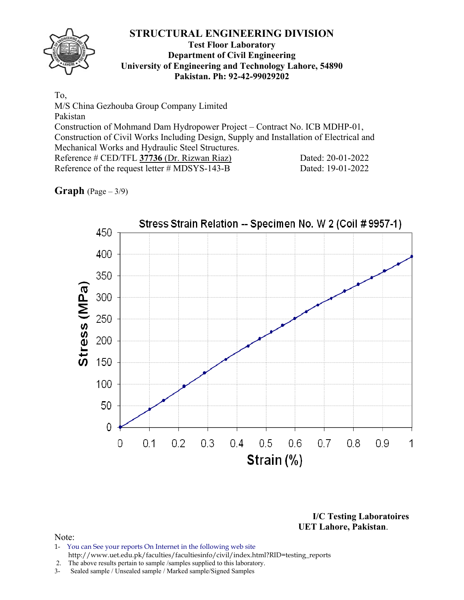

### **Test Floor Laboratory Department of Civil Engineering University of Engineering and Technology Lahore, 54890 Pakistan. Ph: 92-42-99029202**

To,

M/S China Gezhouba Group Company Limited Pakistan Construction of Mohmand Dam Hydropower Project – Contract No. ICB MDHP-01, Construction of Civil Works Including Design, Supply and Installation of Electrical and Mechanical Works and Hydraulic Steel Structures. Reference # CED/TFL **37736** (Dr. Rizwan Riaz) Dated: 20-01-2022 Reference of the request letter # MDSYS-143-B Dated: 19-01-2022

**Graph**  $(Page - 3/9)$ 



**I/C Testing Laboratoires UET Lahore, Pakistan**.

- 1- You can See your reports On Internet in the following web site http://www.uet.edu.pk/faculties/facultiesinfo/civil/index.html?RID=testing\_reports
- 2. The above results pertain to sample /samples supplied to this laboratory.
- 3- Sealed sample / Unsealed sample / Marked sample/Signed Samples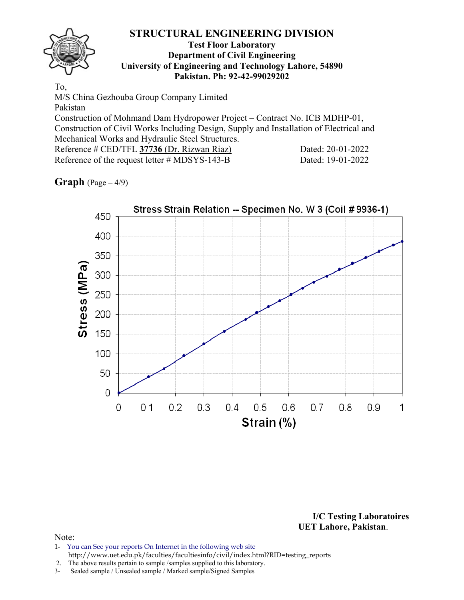### **Test Floor Laboratory Department of Civil Engineering University of Engineering and Technology Lahore, 54890 Pakistan. Ph: 92-42-99029202**

To, M/S China Gezhouba Group Company Limited Pakistan Construction of Mohmand Dam Hydropower Project – Contract No. ICB MDHP-01, Construction of Civil Works Including Design, Supply and Installation of Electrical and Mechanical Works and Hydraulic Steel Structures. Reference # CED/TFL **37736** (Dr. Rizwan Riaz) Dated: 20-01-2022 Reference of the request letter # MDSYS-143-B Dated: 19-01-2022

# **Graph**  $(Page - 4/9)$



**I/C Testing Laboratoires UET Lahore, Pakistan**.

- 1- You can See your reports On Internet in the following web site http://www.uet.edu.pk/faculties/facultiesinfo/civil/index.html?RID=testing\_reports
- 2. The above results pertain to sample /samples supplied to this laboratory.
- 3- Sealed sample / Unsealed sample / Marked sample/Signed Samples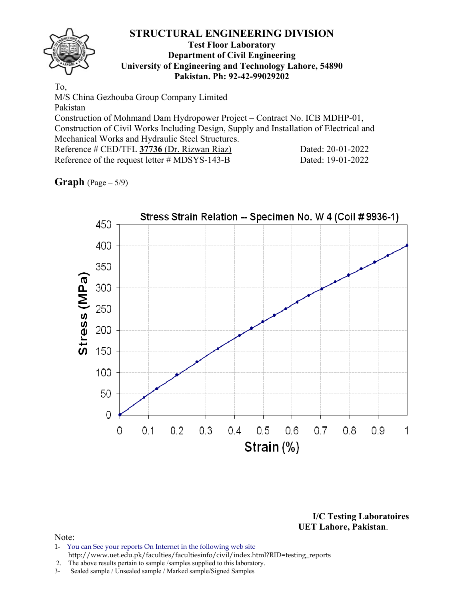### **Test Floor Laboratory Department of Civil Engineering University of Engineering and Technology Lahore, 54890 Pakistan. Ph: 92-42-99029202**

To, M/S China Gezhouba Group Company Limited Pakistan Construction of Mohmand Dam Hydropower Project – Contract No. ICB MDHP-01, Construction of Civil Works Including Design, Supply and Installation of Electrical and Mechanical Works and Hydraulic Steel Structures. Reference # CED/TFL **37736** (Dr. Rizwan Riaz) Dated: 20-01-2022 Reference of the request letter # MDSYS-143-B Dated: 19-01-2022

**Graph** (Page – 5/9)



**I/C Testing Laboratoires UET Lahore, Pakistan**.

- 1- You can See your reports On Internet in the following web site http://www.uet.edu.pk/faculties/facultiesinfo/civil/index.html?RID=testing\_reports
- 2. The above results pertain to sample /samples supplied to this laboratory.
- 3- Sealed sample / Unsealed sample / Marked sample/Signed Samples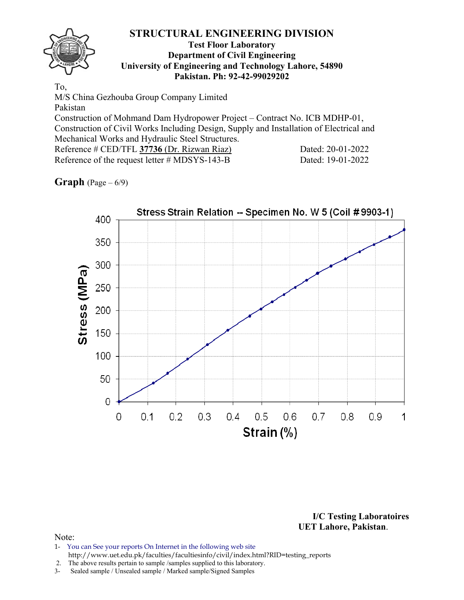### **Test Floor Laboratory Department of Civil Engineering University of Engineering and Technology Lahore, 54890 Pakistan. Ph: 92-42-99029202**

To, M/S China Gezhouba Group Company Limited Pakistan Construction of Mohmand Dam Hydropower Project – Contract No. ICB MDHP-01, Construction of Civil Works Including Design, Supply and Installation of Electrical and Mechanical Works and Hydraulic Steel Structures. Reference # CED/TFL **37736** (Dr. Rizwan Riaz) Dated: 20-01-2022 Reference of the request letter # MDSYS-143-B Dated: 19-01-2022

# **Graph**  $(\text{Page} - 6/9)$



**I/C Testing Laboratoires UET Lahore, Pakistan**.

- 1- You can See your reports On Internet in the following web site http://www.uet.edu.pk/faculties/facultiesinfo/civil/index.html?RID=testing\_reports
- 2. The above results pertain to sample /samples supplied to this laboratory.
- 3- Sealed sample / Unsealed sample / Marked sample/Signed Samples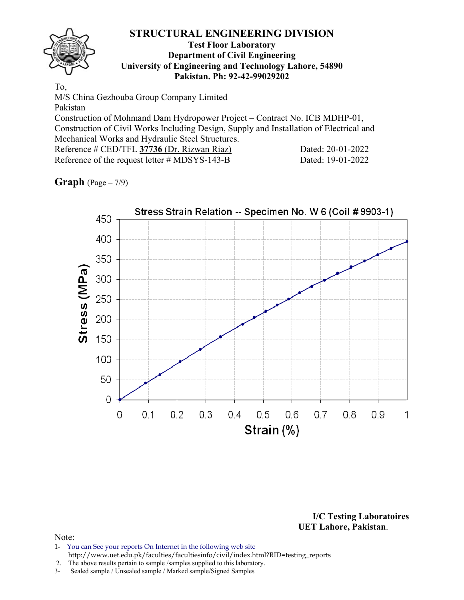### **Test Floor Laboratory Department of Civil Engineering University of Engineering and Technology Lahore, 54890 Pakistan. Ph: 92-42-99029202**

To, M/S China Gezhouba Group Company Limited Pakistan Construction of Mohmand Dam Hydropower Project – Contract No. ICB MDHP-01, Construction of Civil Works Including Design, Supply and Installation of Electrical and Mechanical Works and Hydraulic Steel Structures. Reference # CED/TFL **37736** (Dr. Rizwan Riaz) Dated: 20-01-2022 Reference of the request letter # MDSYS-143-B Dated: 19-01-2022

# **Graph** (Page – 7/9)



**I/C Testing Laboratoires UET Lahore, Pakistan**.

- 1- You can See your reports On Internet in the following web site http://www.uet.edu.pk/faculties/facultiesinfo/civil/index.html?RID=testing\_reports
- 2. The above results pertain to sample /samples supplied to this laboratory.
- 3- Sealed sample / Unsealed sample / Marked sample/Signed Samples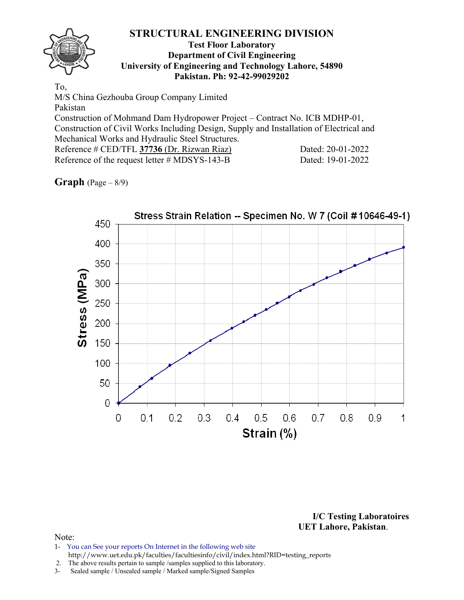### **Test Floor Laboratory Department of Civil Engineering University of Engineering and Technology Lahore, 54890 Pakistan. Ph: 92-42-99029202**

To, M/S China Gezhouba Group Company Limited Pakistan Construction of Mohmand Dam Hydropower Project – Contract No. ICB MDHP-01, Construction of Civil Works Including Design, Supply and Installation of Electrical and Mechanical Works and Hydraulic Steel Structures. Reference # CED/TFL **37736** (Dr. Rizwan Riaz) Dated: 20-01-2022 Reference of the request letter # MDSYS-143-B Dated: 19-01-2022

# **Graph** (Page – 8/9)



**I/C Testing Laboratoires UET Lahore, Pakistan**.

- 1- You can See your reports On Internet in the following web site http://www.uet.edu.pk/faculties/facultiesinfo/civil/index.html?RID=testing\_reports
- 2. The above results pertain to sample /samples supplied to this laboratory.
- 3- Sealed sample / Unsealed sample / Marked sample/Signed Samples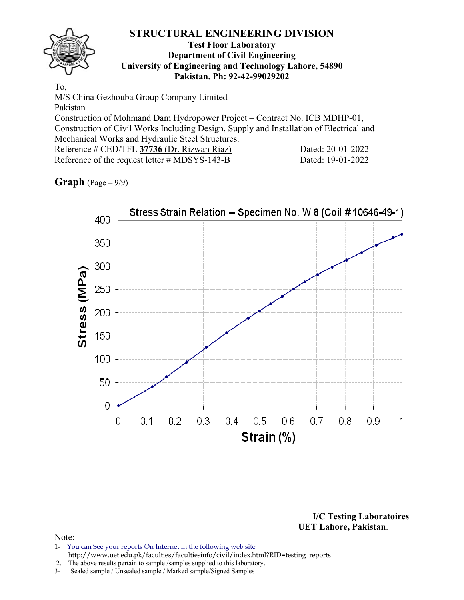### **Test Floor Laboratory Department of Civil Engineering University of Engineering and Technology Lahore, 54890 Pakistan. Ph: 92-42-99029202**

To, M/S China Gezhouba Group Company Limited Pakistan Construction of Mohmand Dam Hydropower Project – Contract No. ICB MDHP-01, Construction of Civil Works Including Design, Supply and Installation of Electrical and Mechanical Works and Hydraulic Steel Structures. Reference # CED/TFL **37736** (Dr. Rizwan Riaz) Dated: 20-01-2022 Reference of the request letter # MDSYS-143-B Dated: 19-01-2022

# **Graph** (Page – 9/9)



**I/C Testing Laboratoires UET Lahore, Pakistan**.

- 1- You can See your reports On Internet in the following web site http://www.uet.edu.pk/faculties/facultiesinfo/civil/index.html?RID=testing\_reports
- 2. The above results pertain to sample /samples supplied to this laboratory.
- 3- Sealed sample / Unsealed sample / Marked sample/Signed Samples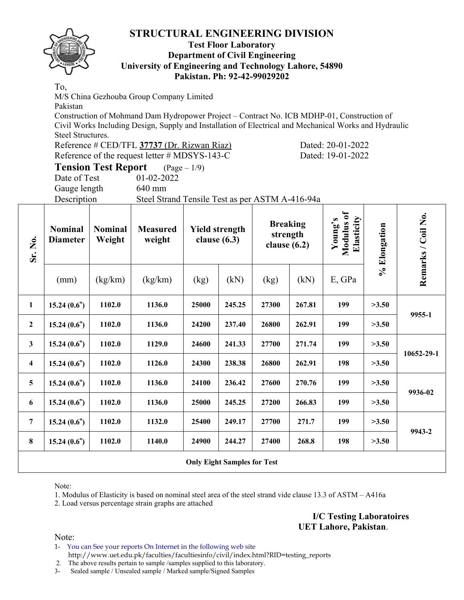### **Test Floor Laboratory Department of Civil Engineering University of Engineering and Technology Lahore, 54890 Pakistan. Ph: 92-42-99029202**

To,

M/S China Gezhouba Group Company Limited

Pakistan

Construction of Mohmand Dam Hydropower Project – Contract No. ICB MDHP-01, Construction of Civil Works Including Design, Supply and Installation of Electrical and Mechanical Works and Hydraulic Steel Structures.

| Reference # CED/TFL 37737 (Dr. Rizwan Riaz)   |  |  |
|-----------------------------------------------|--|--|
| Reference of the request letter # MDSYS-143-C |  |  |

(a) **Dated:** 20-01-2022 Dated: 19-01-2022

**Tension Test Report** (Page – 1/9) Date of Test 01-02-2022

Gauge length 640 mm

Description Steel Strand Tensile Test as per ASTM A-416-94a

| Sr. No.                 | <b>Nominal</b><br><b>Diameter</b> | <b>Nominal</b><br>Weight | <b>Measured</b><br>weight |       | <b>Yield strength</b><br>clause $(6.3)$ |       | <b>Breaking</b><br>strength<br>clause $(6.2)$ |        | % Elongation | Remarks / Coil No. |
|-------------------------|-----------------------------------|--------------------------|---------------------------|-------|-----------------------------------------|-------|-----------------------------------------------|--------|--------------|--------------------|
|                         | (mm)                              | (kg/km)                  | (kg/km)                   | (kg)  | (kN)                                    | (kg)  | (kN)                                          | E, GPa |              |                    |
| $\mathbf{1}$            | 15.24(0.6")                       | 1102.0                   | 1136.0                    | 25000 | 245.25                                  | 27300 | 267.81                                        | 199    | >3.50        |                    |
| $\mathbf{2}$            | 15.24(0.6")                       | 1102.0                   | 1136.0                    | 24200 | 237.40                                  | 26800 | 262.91                                        | 199    | >3.50        | 9955-1             |
| $\mathbf{3}$            | 15.24(0.6")                       | 1102.0                   | 1129.0                    | 24600 | 241.33                                  | 27700 | 271.74                                        | 199    | >3.50        |                    |
| $\overline{\mathbf{4}}$ | 15.24(0.6")                       | 1102.0                   | 1126.0                    | 24300 | 238.38                                  | 26800 | 262.91                                        | 198    | >3.50        | 10652-29-1         |
| 5                       | 15.24(0.6")                       | 1102.0                   | 1136.0                    | 24100 | 236.42                                  | 27600 | 270.76                                        | 199    | >3.50        |                    |
| 6                       | 15.24(0.6")                       | 1102.0                   | 1136.0                    | 25000 | 245.25                                  | 27200 | 266.83                                        | 199    | >3.50        | 9936-02            |
| 7                       | 15.24(0.6")                       | 1102.0                   | 1132.0                    | 25400 | 249.17                                  | 27700 | 271.7                                         | 199    | >3.50        |                    |
| $\bf{8}$                | 15.24(0.6")                       | 1102.0                   | 1140.0                    | 24900 | 244.27                                  | 27400 | 268.8                                         | 198    | >3.50        | 9943-2             |
|                         |                                   |                          |                           |       | <b>Only Eight Samples for Test</b>      |       |                                               |        |              |                    |

Note:

1. Modulus of Elasticity is based on nominal steel area of the steel strand vide clause 13.3 of ASTM – A416a

2. Load versus percentage strain graphs are attached

**I/C Testing Laboratoires UET Lahore, Pakistan**.

Note:

1- You can See your reports On Internet in the following web site http://www.uet.edu.pk/faculties/facultiesinfo/civil/index.html?RID=testing\_reports

2. The above results pertain to sample /samples supplied to this laboratory.

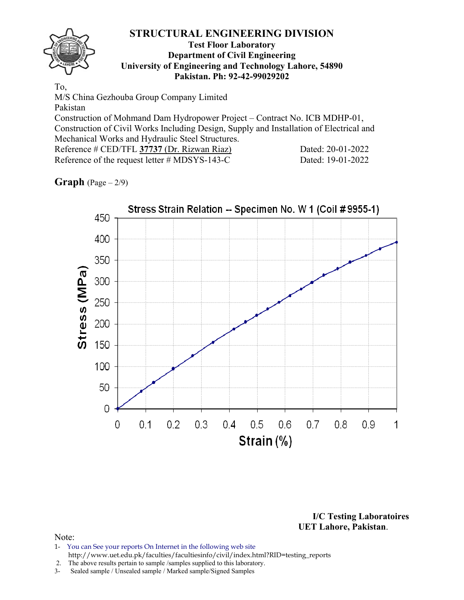### **Test Floor Laboratory Department of Civil Engineering University of Engineering and Technology Lahore, 54890 Pakistan. Ph: 92-42-99029202**

To, M/S China Gezhouba Group Company Limited Pakistan Construction of Mohmand Dam Hydropower Project – Contract No. ICB MDHP-01, Construction of Civil Works Including Design, Supply and Installation of Electrical and Mechanical Works and Hydraulic Steel Structures. Reference # CED/TFL 37737 (Dr. Rizwan Riaz) Dated: 20-01-2022 Reference of the request letter # MDSYS-143-C Dated: 19-01-2022

# **Graph**  $(Page - 2/9)$



**I/C Testing Laboratoires UET Lahore, Pakistan**.

- 1- You can See your reports On Internet in the following web site http://www.uet.edu.pk/faculties/facultiesinfo/civil/index.html?RID=testing\_reports
- 2. The above results pertain to sample /samples supplied to this laboratory.
- 3- Sealed sample / Unsealed sample / Marked sample/Signed Samples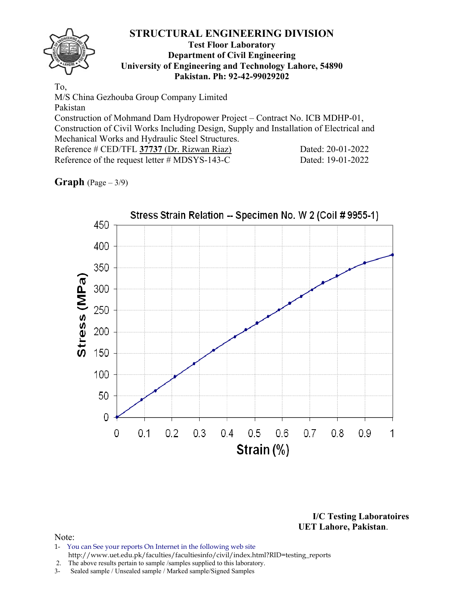### **Test Floor Laboratory Department of Civil Engineering University of Engineering and Technology Lahore, 54890 Pakistan. Ph: 92-42-99029202**

To, M/S China Gezhouba Group Company Limited Pakistan Construction of Mohmand Dam Hydropower Project – Contract No. ICB MDHP-01, Construction of Civil Works Including Design, Supply and Installation of Electrical and Mechanical Works and Hydraulic Steel Structures. Reference # CED/TFL 37737 (Dr. Rizwan Riaz) Dated: 20-01-2022 Reference of the request letter # MDSYS-143-C Dated: 19-01-2022

**Graph**  $(Page - 3/9)$ 



**I/C Testing Laboratoires UET Lahore, Pakistan**.

- 1- You can See your reports On Internet in the following web site http://www.uet.edu.pk/faculties/facultiesinfo/civil/index.html?RID=testing\_reports
- 2. The above results pertain to sample /samples supplied to this laboratory.
- 3- Sealed sample / Unsealed sample / Marked sample/Signed Samples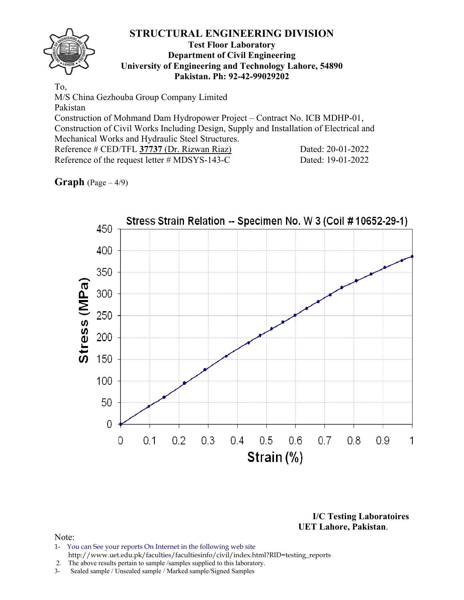### **Test Floor Laboratory Department of Civil Engineering University of Engineering and Technology Lahore, 54890 Pakistan. Ph: 92-42-99029202**

To, M/S China Gezhouba Group Company Limited Pakistan Construction of Mohmand Dam Hydropower Project – Contract No. ICB MDHP-01, Construction of Civil Works Including Design, Supply and Installation of Electrical and Mechanical Works and Hydraulic Steel Structures. Reference # CED/TFL 37737 (Dr. Rizwan Riaz) Dated: 20-01-2022 Reference of the request letter # MDSYS-143-C Dated: 19-01-2022

# **Graph** (Page – 4/9)



**I/C Testing Laboratoires UET Lahore, Pakistan**.

- 1- You can See your reports On Internet in the following web site http://www.uet.edu.pk/faculties/facultiesinfo/civil/index.html?RID=testing\_reports
- 2. The above results pertain to sample /samples supplied to this laboratory.
- 3- Sealed sample / Unsealed sample / Marked sample/Signed Samples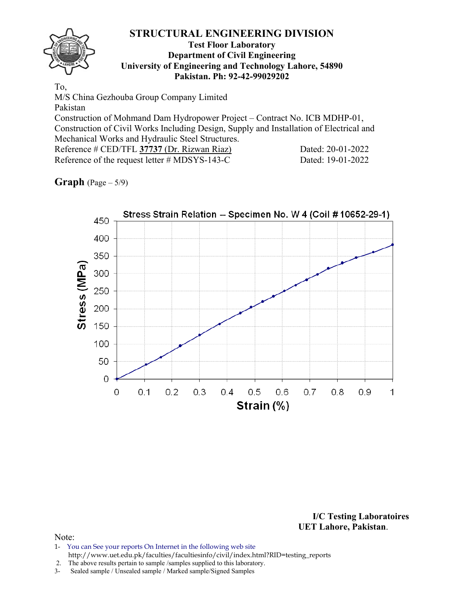### **Test Floor Laboratory Department of Civil Engineering University of Engineering and Technology Lahore, 54890 Pakistan. Ph: 92-42-99029202**

To, M/S China Gezhouba Group Company Limited Pakistan Construction of Mohmand Dam Hydropower Project – Contract No. ICB MDHP-01, Construction of Civil Works Including Design, Supply and Installation of Electrical and Mechanical Works and Hydraulic Steel Structures. Reference # CED/TFL 37737 (Dr. Rizwan Riaz) Dated: 20-01-2022 Reference of the request letter # MDSYS-143-C Dated: 19-01-2022

# **Graph** (Page – 5/9)



**I/C Testing Laboratoires UET Lahore, Pakistan**.

- 1- You can See your reports On Internet in the following web site http://www.uet.edu.pk/faculties/facultiesinfo/civil/index.html?RID=testing\_reports
- 2. The above results pertain to sample /samples supplied to this laboratory.
- 3- Sealed sample / Unsealed sample / Marked sample/Signed Samples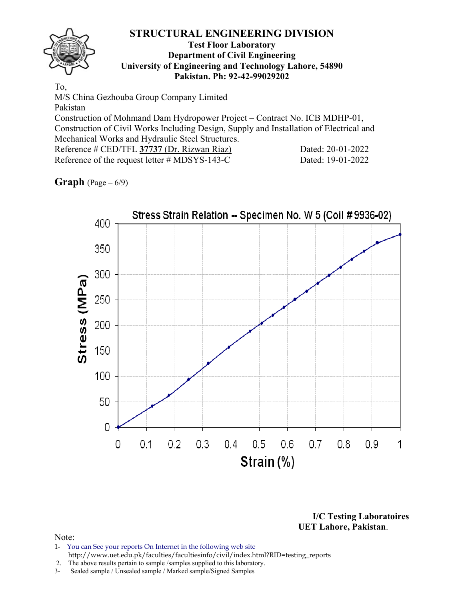### **Test Floor Laboratory Department of Civil Engineering University of Engineering and Technology Lahore, 54890 Pakistan. Ph: 92-42-99029202**

To, M/S China Gezhouba Group Company Limited Pakistan Construction of Mohmand Dam Hydropower Project – Contract No. ICB MDHP-01, Construction of Civil Works Including Design, Supply and Installation of Electrical and Mechanical Works and Hydraulic Steel Structures. Reference # CED/TFL 37737 (Dr. Rizwan Riaz) Dated: 20-01-2022 Reference of the request letter # MDSYS-143-C Dated: 19-01-2022

# **Graph**  $(\text{Page} - 6/9)$



**I/C Testing Laboratoires UET Lahore, Pakistan**.

- 1- You can See your reports On Internet in the following web site http://www.uet.edu.pk/faculties/facultiesinfo/civil/index.html?RID=testing\_reports
- 2. The above results pertain to sample /samples supplied to this laboratory.
- 3- Sealed sample / Unsealed sample / Marked sample/Signed Samples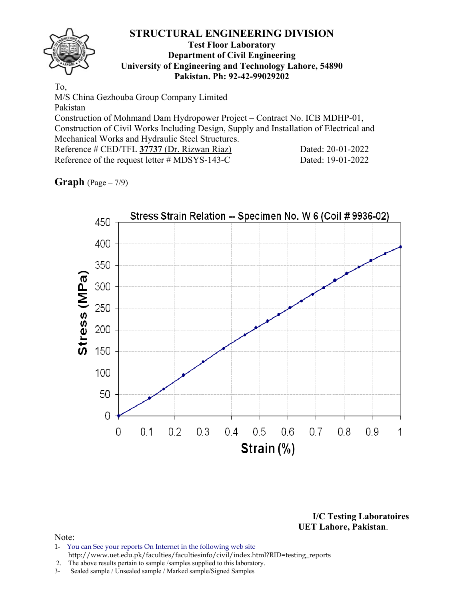### **Test Floor Laboratory Department of Civil Engineering University of Engineering and Technology Lahore, 54890 Pakistan. Ph: 92-42-99029202**

To, M/S China Gezhouba Group Company Limited Pakistan Construction of Mohmand Dam Hydropower Project – Contract No. ICB MDHP-01, Construction of Civil Works Including Design, Supply and Installation of Electrical and Mechanical Works and Hydraulic Steel Structures. Reference # CED/TFL 37737 (Dr. Rizwan Riaz) Dated: 20-01-2022 Reference of the request letter # MDSYS-143-C Dated: 19-01-2022

# **Graph** (Page – 7/9)



**I/C Testing Laboratoires UET Lahore, Pakistan**.

- 1- You can See your reports On Internet in the following web site http://www.uet.edu.pk/faculties/facultiesinfo/civil/index.html?RID=testing\_reports
- 2. The above results pertain to sample /samples supplied to this laboratory.
- 3- Sealed sample / Unsealed sample / Marked sample/Signed Samples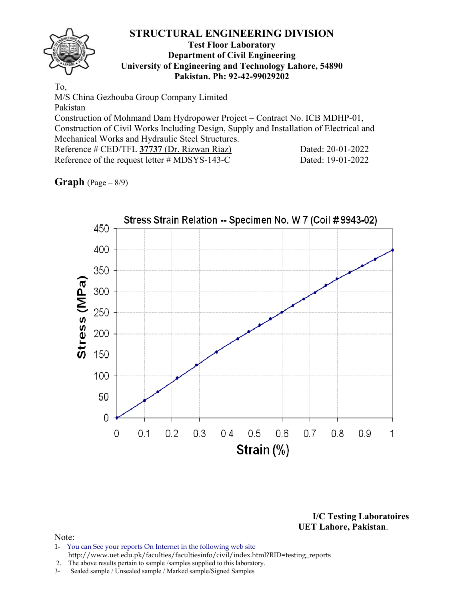### **Test Floor Laboratory Department of Civil Engineering University of Engineering and Technology Lahore, 54890 Pakistan. Ph: 92-42-99029202**

To, M/S China Gezhouba Group Company Limited Pakistan Construction of Mohmand Dam Hydropower Project – Contract No. ICB MDHP-01, Construction of Civil Works Including Design, Supply and Installation of Electrical and Mechanical Works and Hydraulic Steel Structures. Reference # CED/TFL 37737 (Dr. Rizwan Riaz) Dated: 20-01-2022 Reference of the request letter # MDSYS-143-C Dated: 19-01-2022

# **Graph** (Page – 8/9)



**I/C Testing Laboratoires UET Lahore, Pakistan**.

- 1- You can See your reports On Internet in the following web site http://www.uet.edu.pk/faculties/facultiesinfo/civil/index.html?RID=testing\_reports
- 2. The above results pertain to sample /samples supplied to this laboratory.
- 3- Sealed sample / Unsealed sample / Marked sample/Signed Samples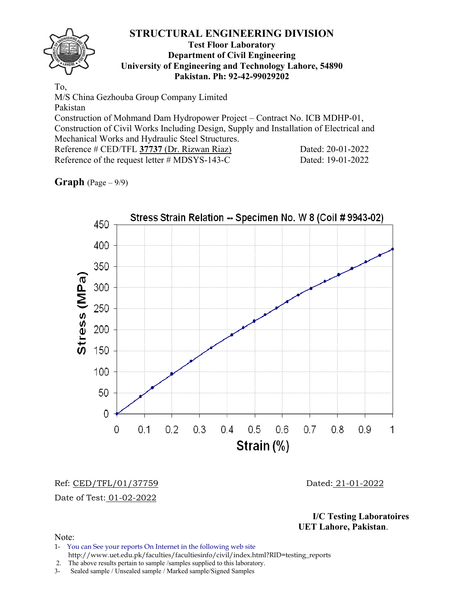### **Test Floor Laboratory Department of Civil Engineering University of Engineering and Technology Lahore, 54890 Pakistan. Ph: 92-42-99029202**

To, M/S China Gezhouba Group Company Limited Pakistan Construction of Mohmand Dam Hydropower Project – Contract No. ICB MDHP-01, Construction of Civil Works Including Design, Supply and Installation of Electrical and Mechanical Works and Hydraulic Steel Structures. Reference # CED/TFL 37737 (Dr. Rizwan Riaz) Dated: 20-01-2022 Reference of the request letter # MDSYS-143-C Dated: 19-01-2022

**Graph** (Page – 9/9)



Ref: CED/TFL/01/37759 Dated: 21-01-2022 Date of Test: 01-02-2022

**I/C Testing Laboratoires UET Lahore, Pakistan**.

Note:

1- You can See your reports On Internet in the following web site http://www.uet.edu.pk/faculties/facultiesinfo/civil/index.html?RID=testing\_reports

2. The above results pertain to sample /samples supplied to this laboratory.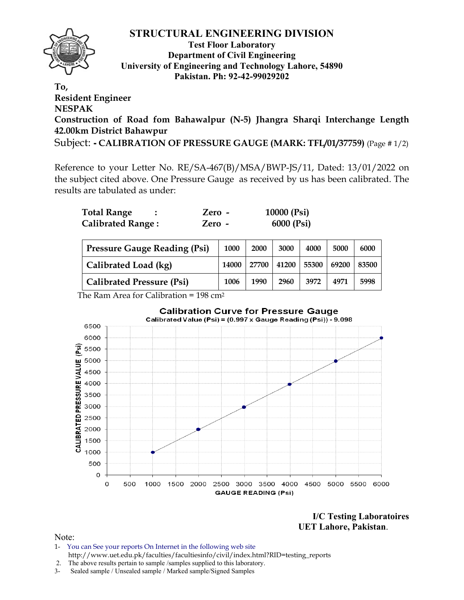

**Test Floor Laboratory Department of Civil Engineering University of Engineering and Technology Lahore, 54890 Pakistan. Ph: 92-42-99029202** 

**To, Resident Engineer NESPAK Construction of Road fom Bahawalpur (N-5) Jhangra Sharqi Interchange Length 42.00km District Bahawpur** Subject: **- CALIBRATION OF PRESSURE GAUGE (MARK: TFL/01/37759)** (Page # 1/2)

Reference to your Letter No. RE/SA-467(B)/MSA/BWP-JS/11, Dated: 13/01/2022 on the subject cited above. One Pressure Gauge as received by us has been calibrated. The results are tabulated as under:

| <b>Total Range</b>       | Zero - | 10000 $(Psi)$ |
|--------------------------|--------|---------------|
| <b>Calibrated Range:</b> | Zero - | 6000 (Psi)    |

| <b>Pressure Gauge Reading (Psi)</b> | 1000  | 2000 | 3000                          | 4000 | 5000 | 6000  |
|-------------------------------------|-------|------|-------------------------------|------|------|-------|
| Calibrated Load (kg)                | 14000 |      | 27700   41200   55300   69200 |      |      | 83500 |
| <b>Calibrated Pressure (Psi)</b>    | 1006  | 1990 | 2960                          | 3972 | 4971 | 5998  |

The Ram Area for Calibration = 198 cm2



**I/C Testing Laboratoires UET Lahore, Pakistan**.

- 1- You can See your reports On Internet in the following web site http://www.uet.edu.pk/faculties/facultiesinfo/civil/index.html?RID=testing\_reports
- 2. The above results pertain to sample /samples supplied to this laboratory.
- 3- Sealed sample / Unsealed sample / Marked sample/Signed Samples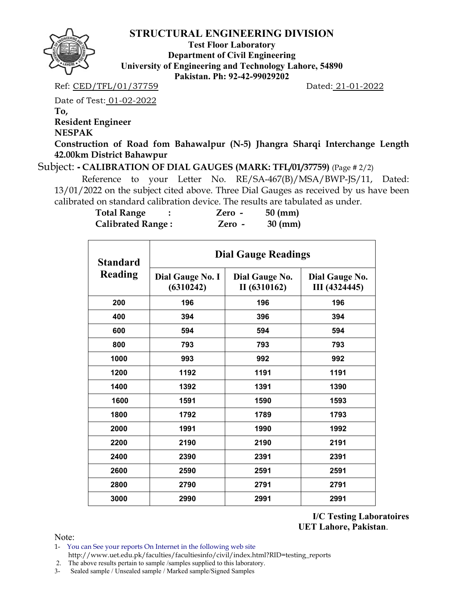

**Test Floor Laboratory Department of Civil Engineering University of Engineering and Technology Lahore, 54890 Pakistan. Ph: 92-42-99029202** 

Ref: CED/TFL/01/37759 Dated: 21-01-2022

Date of Test: 01-02-2022

**To,** 

**Resident Engineer** 

**NESPAK** 

**Construction of Road fom Bahawalpur (N-5) Jhangra Sharqi Interchange Length 42.00km District Bahawpur**

Subject: **- CALIBRATION OF DIAL GAUGES (MARK: TFL/01/37759)** (Page # 2/2)

Reference to your Letter No. RE/SA-467(B)/MSA/BWP-JS/11, Dated: 13/01/2022 on the subject cited above. Three Dial Gauges as received by us have been calibrated on standard calibration device. The results are tabulated as under.

| <b>Total Range</b>       | Zero - | $50$ (mm)         |
|--------------------------|--------|-------------------|
| <b>Calibrated Range:</b> | Zero - | $30 \text{ (mm)}$ |

| <b>Standard</b> | <b>Dial Gauge Readings</b>    |                                |                                 |  |  |  |  |  |
|-----------------|-------------------------------|--------------------------------|---------------------------------|--|--|--|--|--|
| Reading         | Dial Gauge No. I<br>(6310242) | Dial Gauge No.<br>II (6310162) | Dial Gauge No.<br>III (4324445) |  |  |  |  |  |
| 200             | 196                           | 196                            | 196                             |  |  |  |  |  |
| 400             | 394                           | 396                            | 394                             |  |  |  |  |  |
| 600             | 594                           | 594                            | 594                             |  |  |  |  |  |
| 800             | 793                           | 793                            | 793                             |  |  |  |  |  |
| 1000            | 993                           | 992                            | 992                             |  |  |  |  |  |
| 1200            | 1192                          | 1191                           | 1191                            |  |  |  |  |  |
| 1400            | 1392                          | 1391                           | 1390                            |  |  |  |  |  |
| 1600            | 1591                          | 1590                           | 1593                            |  |  |  |  |  |
| 1800            | 1792                          | 1789                           | 1793                            |  |  |  |  |  |
| 2000            | 1991                          | 1990                           | 1992                            |  |  |  |  |  |
| 2200            | 2190                          | 2190                           | 2191                            |  |  |  |  |  |
| 2400            | 2390                          | 2391                           | 2391                            |  |  |  |  |  |
| 2600            | 2590<br>2591                  |                                | 2591                            |  |  |  |  |  |
| 2800            | 2790                          | 2791                           | 2791                            |  |  |  |  |  |
| 3000            | 2990                          | 2991                           | 2991                            |  |  |  |  |  |

**I/C Testing Laboratoires UET Lahore, Pakistan**.

Note:

1- You can See your reports On Internet in the following web site http://www.uet.edu.pk/faculties/facultiesinfo/civil/index.html?RID=testing\_reports

2. The above results pertain to sample /samples supplied to this laboratory.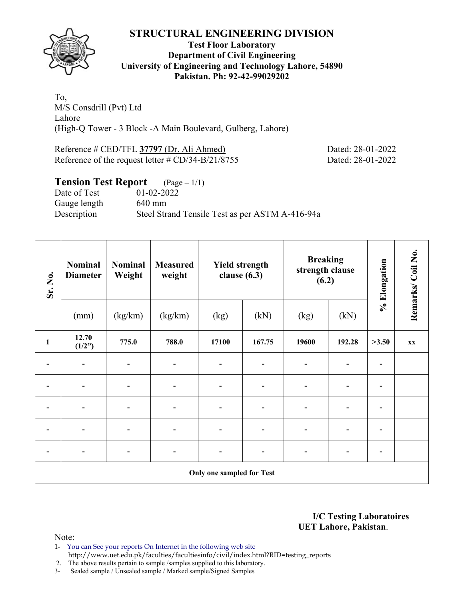

### **Test Floor Laboratory Department of Civil Engineering University of Engineering and Technology Lahore, 54890 Pakistan. Ph: 92-42-99029202**

To, M/S Consdrill (Pvt) Ltd Lahore (High-Q Tower - 3 Block -A Main Boulevard, Gulberg, Lahore)

Reference # CED/TFL **37797** (Dr. Ali Ahmed) Dated: 28-01-2022 Reference of the request letter # CD/34-B/21/8755 Dated: 28-01-2022

# **Tension Test Report** (Page – 1/1) Date of Test 01-02-2022 Gauge length 640 mm Description Steel Strand Tensile Test as per ASTM A-416-94a

| Sr. No.      | <b>Nominal</b><br><b>Diameter</b> | <b>Nominal</b><br>Weight | <b>Measured</b><br>weight    | <b>Breaking</b><br><b>Yield strength</b><br>strength clause<br>clause $(6.3)$<br>(6.2) |        | % Elongation | Remarks/Coil No. |                          |                         |
|--------------|-----------------------------------|--------------------------|------------------------------|----------------------------------------------------------------------------------------|--------|--------------|------------------|--------------------------|-------------------------|
|              | (mm)                              | (kg/km)                  | (kg/km)                      | (kg)                                                                                   | (kN)   | (kg)         | (kN)             |                          |                         |
| $\mathbf{1}$ | 12.70<br>(1/2")                   | 775.0                    | 788.0                        | 17100                                                                                  | 167.75 | 19600        | 192.28           | >3.50                    | $\mathbf{X} \mathbf{X}$ |
|              |                                   |                          | $\qquad \qquad \blacksquare$ |                                                                                        |        |              |                  |                          |                         |
|              |                                   |                          | -                            | $\overline{\phantom{0}}$                                                               |        |              |                  | ٠                        |                         |
|              |                                   |                          | $\blacksquare$               |                                                                                        |        |              |                  |                          |                         |
|              |                                   |                          |                              |                                                                                        |        |              |                  |                          |                         |
|              |                                   |                          | -                            |                                                                                        |        |              |                  | $\overline{\phantom{0}}$ |                         |
|              |                                   |                          |                              | Only one sampled for Test                                                              |        |              |                  |                          |                         |

**I/C Testing Laboratoires UET Lahore, Pakistan**.

Note:

- 1- You can See your reports On Internet in the following web site http://www.uet.edu.pk/faculties/facultiesinfo/civil/index.html?RID=testing\_reports
- 2. The above results pertain to sample /samples supplied to this laboratory.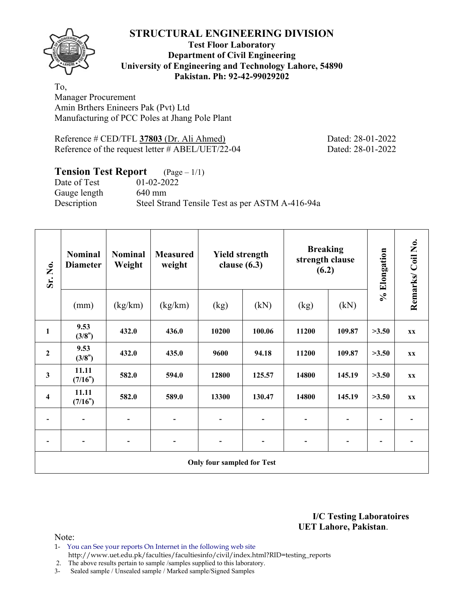**Test Floor Laboratory Department of Civil Engineering University of Engineering and Technology Lahore, 54890 Pakistan. Ph: 92-42-99029202** 

To, Manager Procurement Amin Brthers Enineers Pak (Pvt) Ltd Manufacturing of PCC Poles at Jhang Pole Plant

Reference # CED/TFL **37803** (Dr. Ali Ahmed) Dated: 28-01-2022 Reference of the request letter # ABEL/UET/22-04 Dated: 28-01-2022

# **Tension Test Report** (Page – 1/1)

Date of Test 01-02-2022 Gauge length 640 mm Description Steel Strand Tensile Test as per ASTM A-416-94a

| Sr. No.                           | <b>Nominal</b><br><b>Diameter</b> | <b>Nominal</b><br>Weight | <b>Measured</b><br>weight | <b>Yield strength</b><br>clause $(6.3)$ |        | <b>Breaking</b><br>strength clause<br>(6.2) |        | % Elongation             | Remarks/Coil No.       |  |  |
|-----------------------------------|-----------------------------------|--------------------------|---------------------------|-----------------------------------------|--------|---------------------------------------------|--------|--------------------------|------------------------|--|--|
|                                   | (mm)                              | (kg/km)                  | (kg/km)                   | (kg)                                    | (kN)   | (kg)                                        | (kN)   |                          |                        |  |  |
| $\mathbf{1}$                      | 9.53<br>(3/8")                    | 432.0                    | 436.0                     | 10200                                   | 100.06 | 11200                                       | 109.87 | >3.50                    | <b>XX</b>              |  |  |
| $\boldsymbol{2}$                  | 9.53<br>(3/8")                    | 432.0                    | 435.0                     | 9600                                    | 94.18  | 11200                                       | 109.87 | >3.50                    | $\mathbf{X}\mathbf{X}$ |  |  |
| 3                                 | 11.11<br>(7/16")                  | 582.0                    | 594.0                     | 12800                                   | 125.57 | 14800                                       | 145.19 | >3.50                    | $\mathbf{X}\mathbf{X}$ |  |  |
| 4                                 | 11.11<br>(7/16")                  | 582.0                    | 589.0                     | 13300                                   | 130.47 | 14800                                       | 145.19 | >3.50                    | <b>XX</b>              |  |  |
|                                   |                                   |                          | $\overline{a}$            |                                         |        |                                             |        |                          |                        |  |  |
|                                   |                                   | -                        |                           |                                         |        |                                             |        | $\overline{\phantom{a}}$ |                        |  |  |
| <b>Only four sampled for Test</b> |                                   |                          |                           |                                         |        |                                             |        |                          |                        |  |  |

**I/C Testing Laboratoires UET Lahore, Pakistan**.

- 1- You can See your reports On Internet in the following web site http://www.uet.edu.pk/faculties/facultiesinfo/civil/index.html?RID=testing\_reports
- 2. The above results pertain to sample /samples supplied to this laboratory.
- 3- Sealed sample / Unsealed sample / Marked sample/Signed Samples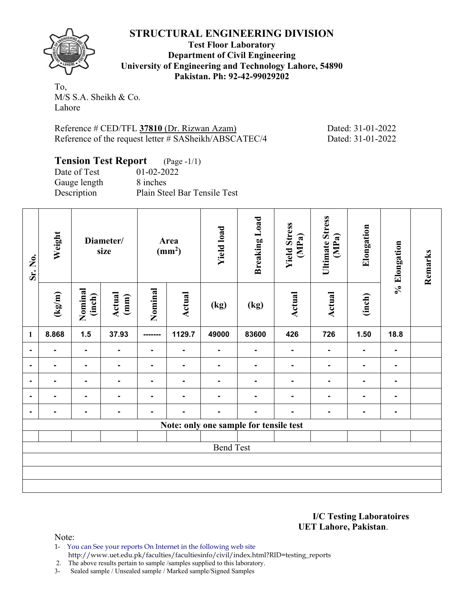**Test Floor Laboratory Department of Civil Engineering University of Engineering and Technology Lahore, 54890 Pakistan. Ph: 92-42-99029202** 

To, M/S S.A. Sheikh & Co. Lahore

Reference # CED/TFL **37810** (Dr. Rizwan Azam) Dated: 31-01-2022 Reference of the request letter # SASheikh/ABSCATEC/4 Dated: 31-01-2022

### **Tension Test Report** (Page -1/1) Date of Test 01-02-2022

Gauge length 8 inches

Description Plain Steel Bar Tensile Test

| Sr. No.          | Weight | Diameter/<br>size |                | Area<br>(mm <sup>2</sup> ) |                | <b>Yield load</b> | <b>Breaking Load</b>                   | <b>Yield Stress</b><br>(MPa) | <b>Ultimate Stress</b><br>(MPa) | Elongation     | % Elongation   | Remarks |
|------------------|--------|-------------------|----------------|----------------------------|----------------|-------------------|----------------------------------------|------------------------------|---------------------------------|----------------|----------------|---------|
|                  | (kg/m) | Nominal<br>(inch) | Actual<br>(mm) | Nominal                    | Actual         | (kg)              | (kg)                                   | Actual                       | Actual                          | (inch)         |                |         |
| $\mathbf{1}$     | 8.868  | 1.5               | 37.93          | --------                   | 1129.7         | 49000             | 83600                                  | 426                          | 726                             | 1.50           | 18.8           |         |
| $\blacksquare$   | Ξ.     | $\blacksquare$    | $\blacksquare$ | $\blacksquare$             | $\blacksquare$ | $\blacksquare$    | $\blacksquare$                         | $\blacksquare$               | $\blacksquare$                  | $\blacksquare$ | $\blacksquare$ |         |
| $\blacksquare$   | ۰      | $\blacksquare$    | ٠              | $\blacksquare$             | $\blacksquare$ | $\blacksquare$    | $\blacksquare$                         | $\blacksquare$               | $\blacksquare$                  | $\blacksquare$ | $\blacksquare$ |         |
| $\blacksquare$   | ۰      | $\blacksquare$    | $\blacksquare$ | $\blacksquare$             | ۰              | $\blacksquare$    | $\blacksquare$                         | $\blacksquare$               | $\blacksquare$                  | Ξ.             | $\blacksquare$ |         |
| $\blacksquare$   | ۰      | $\blacksquare$    | $\blacksquare$ | $\blacksquare$             | $\blacksquare$ |                   | $\blacksquare$                         | $\blacksquare$               | $\blacksquare$                  | -              | $\blacksquare$ |         |
| $\blacksquare$   | ۰      | $\blacksquare$    | $\blacksquare$ | $\blacksquare$             | $\blacksquare$ | $\blacksquare$    | $\blacksquare$                         | $\blacksquare$               | $\blacksquare$                  | $\blacksquare$ | $\blacksquare$ |         |
|                  |        |                   |                |                            |                |                   | Note: only one sample for tensile test |                              |                                 |                |                |         |
|                  |        |                   |                |                            |                |                   |                                        |                              |                                 |                |                |         |
| <b>Bend Test</b> |        |                   |                |                            |                |                   |                                        |                              |                                 |                |                |         |
|                  |        |                   |                |                            |                |                   |                                        |                              |                                 |                |                |         |
|                  |        |                   |                |                            |                |                   |                                        |                              |                                 |                |                |         |
|                  |        |                   |                |                            |                |                   |                                        |                              |                                 |                |                |         |

**I/C Testing Laboratoires UET Lahore, Pakistan**.

Note:

1- You can See your reports On Internet in the following web site http://www.uet.edu.pk/faculties/facultiesinfo/civil/index.html?RID=testing\_reports

2. The above results pertain to sample /samples supplied to this laboratory.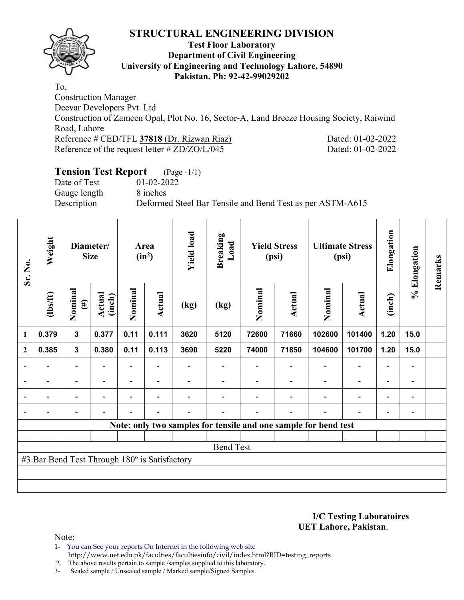

### **Test Floor Laboratory Department of Civil Engineering University of Engineering and Technology Lahore, 54890 Pakistan. Ph: 92-42-99029202**

To, Construction Manager Deevar Developers Pvt. Ltd Construction of Zameen Opal, Plot No. 16, Sector-A, Land Breeze Housing Society, Raiwind Road, Lahore Reference # CED/TFL **37818** (Dr. Rizwan Riaz) Dated: 01-02-2022 Reference of the request letter # ZD/ZO/L/045 Dated: 01-02-2022

# **Tension Test Report** (Page -1/1)

Date of Test 01-02-2022 Gauge length 8 inches

Description Deformed Steel Bar Tensile and Bend Test as per ASTM-A615

| Sr. No.                  | Weight                                        | Diameter/<br><b>Size</b> |                          |         |                          | Area<br>$(in^2)$ |      | <b>Yield load</b> | <b>Breaking</b><br>Load | <b>Yield Stress</b><br>(psi)                                    |                          | <b>Ultimate Stress</b><br>(psi) |                              | Elongation | % Elongation | Remarks |
|--------------------------|-----------------------------------------------|--------------------------|--------------------------|---------|--------------------------|------------------|------|-------------------|-------------------------|-----------------------------------------------------------------|--------------------------|---------------------------------|------------------------------|------------|--------------|---------|
|                          | $\frac{2}{10}$                                | Nominal<br>$(\#)$        | Actual<br>(inch)         | Nominal | Actual                   | (kg)             | (kg) | Nominal           | Actual                  | Nominal                                                         | Actual                   | (inch)                          |                              |            |              |         |
| $\mathbf{1}$             | 0.379                                         | 3                        | 0.377                    | 0.11    | 0.111                    | 3620             | 5120 | 72600             | 71660                   | 102600                                                          | 101400                   | 1.20                            | 15.0                         |            |              |         |
| $\overline{2}$           | 0.385                                         | $\mathbf{3}$             | 0.380                    | 0.11    | 0.113                    | 3690             | 5220 | 74000             | 71850                   | 104600                                                          | 101700                   | 1.20                            | 15.0                         |            |              |         |
| $\overline{\phantom{a}}$ |                                               | -                        |                          |         |                          |                  |      |                   |                         |                                                                 | $\overline{a}$           | $\overline{\phantom{a}}$        |                              |            |              |         |
| $\overline{\phantom{a}}$ | $\overline{\phantom{a}}$                      | $\overline{\phantom{a}}$ | $\blacksquare$           |         | $\overline{\phantom{0}}$ |                  |      |                   |                         | $\overline{\phantom{0}}$                                        | $\overline{\phantom{a}}$ | $\overline{\phantom{a}}$        | $\blacksquare$               |            |              |         |
| $\overline{\phantom{a}}$ | $\blacksquare$                                | $\overline{\phantom{a}}$ | $\overline{\phantom{0}}$ |         | $\overline{\phantom{a}}$ |                  |      |                   | $\blacksquare$          | $\blacksquare$                                                  | $\overline{\phantom{a}}$ | $\qquad \qquad -$               | $\qquad \qquad \blacksquare$ |            |              |         |
| $\overline{\phantom{a}}$ | $\blacksquare$                                | $\overline{\phantom{0}}$ |                          |         | $\overline{\phantom{0}}$ |                  |      |                   | $\blacksquare$          | $\overline{\phantom{0}}$                                        | $\overline{\phantom{a}}$ | $\overline{\phantom{a}}$        | $\blacksquare$               |            |              |         |
|                          |                                               |                          |                          |         |                          |                  |      |                   |                         | Note: only two samples for tensile and one sample for bend test |                          |                                 |                              |            |              |         |
|                          |                                               |                          |                          |         |                          |                  |      |                   |                         |                                                                 |                          |                                 |                              |            |              |         |
| <b>Bend Test</b>         |                                               |                          |                          |         |                          |                  |      |                   |                         |                                                                 |                          |                                 |                              |            |              |         |
|                          | #3 Bar Bend Test Through 180° is Satisfactory |                          |                          |         |                          |                  |      |                   |                         |                                                                 |                          |                                 |                              |            |              |         |
|                          |                                               |                          |                          |         |                          |                  |      |                   |                         |                                                                 |                          |                                 |                              |            |              |         |
|                          |                                               |                          |                          |         |                          |                  |      |                   |                         |                                                                 |                          |                                 |                              |            |              |         |

**I/C Testing Laboratoires UET Lahore, Pakistan**.

Note:

1- You can See your reports On Internet in the following web site http://www.uet.edu.pk/faculties/facultiesinfo/civil/index.html?RID=testing\_reports

2. The above results pertain to sample /samples supplied to this laboratory.